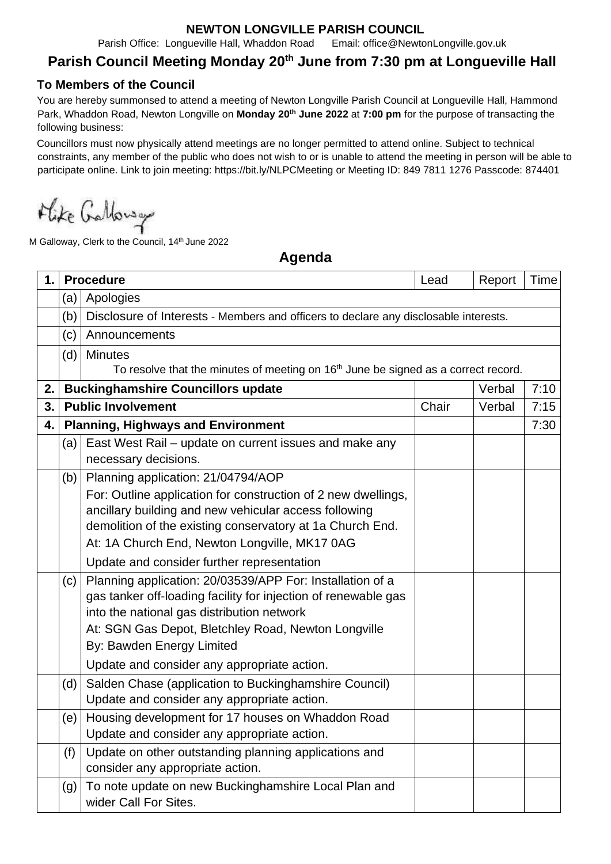## **NEWTON LONGVILLE PARISH COUNCIL**

Parish Office: Longueville Hall, Whaddon Road Email: office@NewtonLongville.gov.uk

## **Parish Council Meeting Monday 20 th June from 7:30 pm at Longueville Hall**

## **To Members of the Council**

You are hereby summonsed to attend a meeting of Newton Longville Parish Council at Longueville Hall, Hammond Park, Whaddon Road, Newton Longville on **Monday 20th June 2022** at **7:00 pm** for the purpose of transacting the following business:

Councillors must now physically attend meetings are no longer permitted to attend online. Subject to technical constraints, any member of the public who does not wish to or is unable to attend the meeting in person will be able to participate online. Link to join meeting: https://bit.ly/NLPCMeeting or Meeting ID: 849 7811 1276 Passcode: 874401

Mike Galloway

M Galloway, Clerk to the Council, 14<sup>th</sup> June 2022

**Agenda**

| 1. | <b>Procedure</b> |                                                                                                                                                                                                                                                                                                                          | Lead  | Report | Time |  |  |  |
|----|------------------|--------------------------------------------------------------------------------------------------------------------------------------------------------------------------------------------------------------------------------------------------------------------------------------------------------------------------|-------|--------|------|--|--|--|
|    | (a)              | Apologies                                                                                                                                                                                                                                                                                                                |       |        |      |  |  |  |
|    | (b)              | Disclosure of Interests - Members and officers to declare any disclosable interests.                                                                                                                                                                                                                                     |       |        |      |  |  |  |
|    | (c)              | Announcements                                                                                                                                                                                                                                                                                                            |       |        |      |  |  |  |
|    | (d)              | <b>Minutes</b>                                                                                                                                                                                                                                                                                                           |       |        |      |  |  |  |
|    |                  | To resolve that the minutes of meeting on 16 <sup>th</sup> June be signed as a correct record.                                                                                                                                                                                                                           |       |        |      |  |  |  |
| 2. |                  | <b>Buckinghamshire Councillors update</b>                                                                                                                                                                                                                                                                                |       | Verbal | 7:10 |  |  |  |
| 3. |                  | <b>Public Involvement</b>                                                                                                                                                                                                                                                                                                | Chair | Verbal | 7:15 |  |  |  |
| 4. |                  | <b>Planning, Highways and Environment</b>                                                                                                                                                                                                                                                                                |       |        | 7:30 |  |  |  |
|    | (a)              | East West Rail – update on current issues and make any<br>necessary decisions.                                                                                                                                                                                                                                           |       |        |      |  |  |  |
|    | (b)              | Planning application: 21/04794/AOP<br>For: Outline application for construction of 2 new dwellings,<br>ancillary building and new vehicular access following<br>demolition of the existing conservatory at 1a Church End.<br>At: 1A Church End, Newton Longville, MK17 0AG<br>Update and consider further representation |       |        |      |  |  |  |
|    | (c)              | Planning application: 20/03539/APP For: Installation of a<br>gas tanker off-loading facility for injection of renewable gas<br>into the national gas distribution network<br>At: SGN Gas Depot, Bletchley Road, Newton Longville<br>By: Bawden Energy Limited<br>Update and consider any appropriate action.             |       |        |      |  |  |  |
|    | (d)              | Salden Chase (application to Buckinghamshire Council)<br>Update and consider any appropriate action.                                                                                                                                                                                                                     |       |        |      |  |  |  |
|    | (e)              | Housing development for 17 houses on Whaddon Road<br>Update and consider any appropriate action.                                                                                                                                                                                                                         |       |        |      |  |  |  |
|    | (f)              | Update on other outstanding planning applications and<br>consider any appropriate action.                                                                                                                                                                                                                                |       |        |      |  |  |  |
|    | (g)              | To note update on new Buckinghamshire Local Plan and<br>wider Call For Sites.                                                                                                                                                                                                                                            |       |        |      |  |  |  |